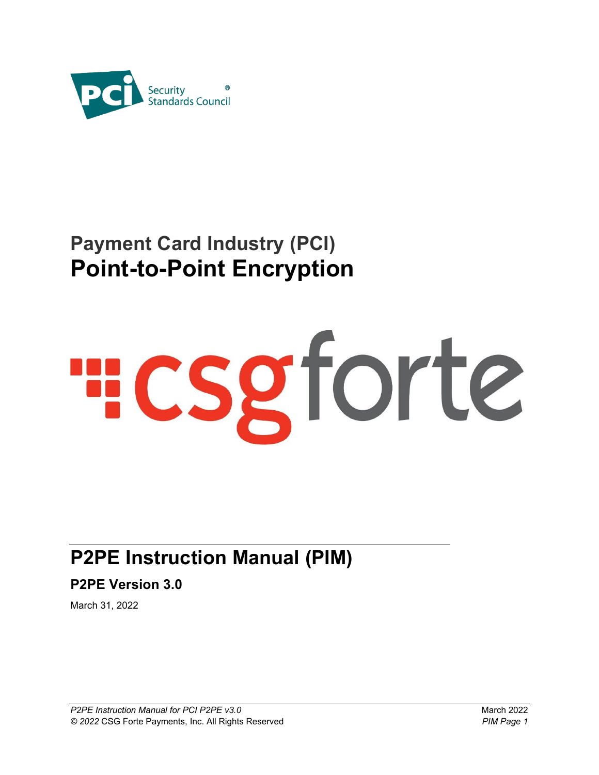

# **Payment Card Industry (PCI) Point-to-Point Encryption**

# HCSgforte

# **P2PE Instruction Manual (PIM)**

**P2PE Version 3.0**

March 31, 2022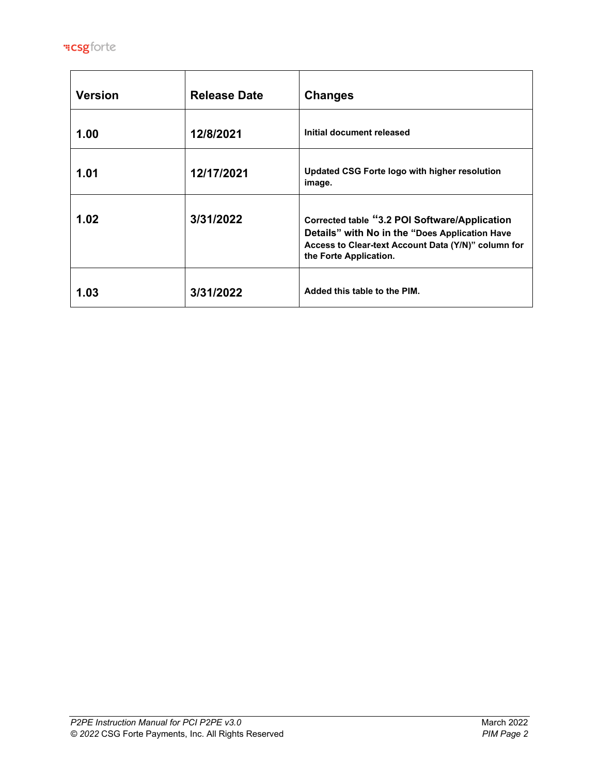

| <b>Version</b> | <b>Release Date</b> | <b>Changes</b>                                                                                                                                                                   |
|----------------|---------------------|----------------------------------------------------------------------------------------------------------------------------------------------------------------------------------|
| 1.00           | 12/8/2021           | Initial document released                                                                                                                                                        |
| 1.01           | 12/17/2021          | Updated CSG Forte logo with higher resolution<br>image.                                                                                                                          |
| 1.02           | 3/31/2022           | Corrected table "3.2 POI Software/Application<br>Details" with No in the "Does Application Have<br>Access to Clear-text Account Data (Y/N)" column for<br>the Forte Application. |
| 1.03           | 3/31/2022           | Added this table to the PIM.                                                                                                                                                     |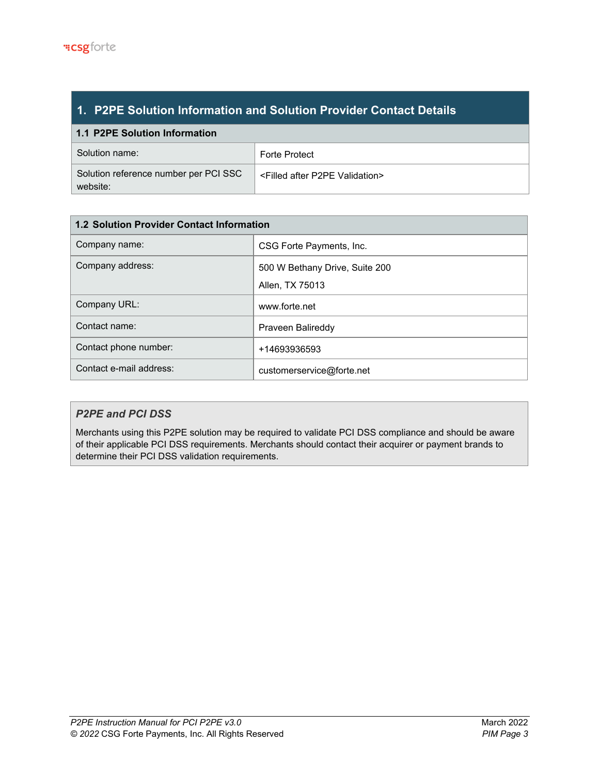# **1. P2PE Solution Information and Solution Provider Contact Details**

| 1.1 P2PE Solution Information                     |                                                  |  |  |
|---------------------------------------------------|--------------------------------------------------|--|--|
| ∣ Solution name:                                  | <b>Forte Protect</b>                             |  |  |
| Solution reference number per PCI SSC<br>website: | <filled after="" p2pe="" validation=""></filled> |  |  |

| <b>1.2 Solution Provider Contact Information</b> |                                |  |  |
|--------------------------------------------------|--------------------------------|--|--|
| Company name:                                    | CSG Forte Payments, Inc.       |  |  |
| Company address:                                 | 500 W Bethany Drive, Suite 200 |  |  |
|                                                  | Allen, TX 75013                |  |  |
| Company URL:                                     | www.forte.net                  |  |  |
| Contact name:                                    | Praveen Balireddy              |  |  |
| Contact phone number:                            | +14693936593                   |  |  |
| Contact e-mail address:                          | customerservice@forte.net      |  |  |

# *P2PE and PCI DSS*

Merchants using this P2PE solution may be required to validate PCI DSS compliance and should be aware of their applicable PCI DSS requirements. Merchants should contact their acquirer or payment brands to determine their PCI DSS validation requirements.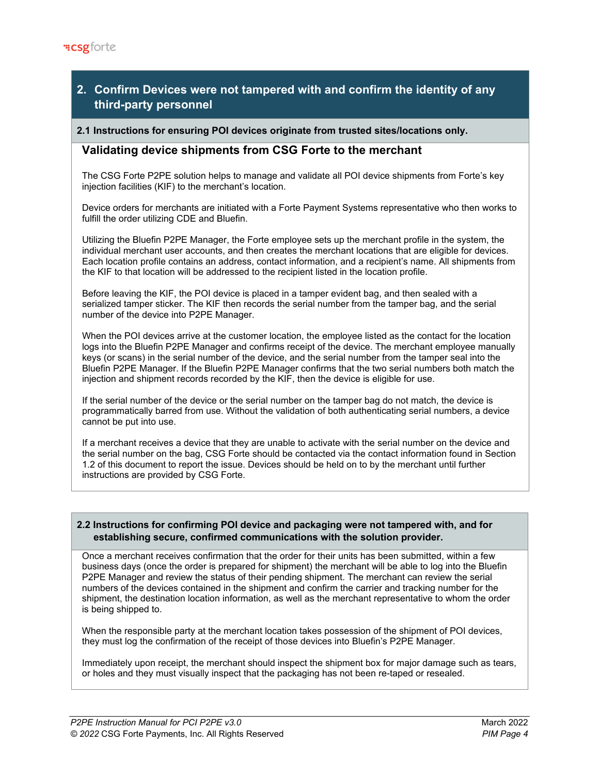# **2. Confirm Devices were not tampered with and confirm the identity of any third-party personnel**

### **2.1 Instructions for ensuring POI devices originate from trusted sites/locations only.**

# **Validating device shipments from CSG Forte to the merchant**

The CSG Forte P2PE solution helps to manage and validate all POI device shipments from Forte's key injection facilities (KIF) to the merchant's location.

Device orders for merchants are initiated with a Forte Payment Systems representative who then works to fulfill the order utilizing CDE and Bluefin.

Utilizing the Bluefin P2PE Manager, the Forte employee sets up the merchant profile in the system, the individual merchant user accounts, and then creates the merchant locations that are eligible for devices. Each location profile contains an address, contact information, and a recipient's name. All shipments from the KIF to that location will be addressed to the recipient listed in the location profile.

Before leaving the KIF, the POI device is placed in a tamper evident bag, and then sealed with a serialized tamper sticker. The KIF then records the serial number from the tamper bag, and the serial number of the device into P2PE Manager.

When the POI devices arrive at the customer location, the employee listed as the contact for the location logs into the Bluefin P2PE Manager and confirms receipt of the device. The merchant employee manually keys (or scans) in the serial number of the device, and the serial number from the tamper seal into the Bluefin P2PE Manager. If the Bluefin P2PE Manager confirms that the two serial numbers both match the injection and shipment records recorded by the KIF, then the device is eligible for use.

If the serial number of the device or the serial number on the tamper bag do not match, the device is programmatically barred from use. Without the validation of both authenticating serial numbers, a device cannot be put into use.

If a merchant receives a device that they are unable to activate with the serial number on the device and the serial number on the bag, CSG Forte should be contacted via the contact information found in Section 1.2 of this document to report the issue. Devices should be held on to by the merchant until further instructions are provided by CSG Forte.

## **2.2 Instructions for confirming POI device and packaging were not tampered with, and for establishing secure, confirmed communications with the solution provider.**

Once a merchant receives confirmation that the order for their units has been submitted, within a few business days (once the order is prepared for shipment) the merchant will be able to log into the Bluefin P2PE Manager and review the status of their pending shipment. The merchant can review the serial numbers of the devices contained in the shipment and confirm the carrier and tracking number for the shipment, the destination location information, as well as the merchant representative to whom the order is being shipped to.

When the responsible party at the merchant location takes possession of the shipment of POI devices, they must log the confirmation of the receipt of those devices into Bluefin's P2PE Manager.

Immediately upon receipt, the merchant should inspect the shipment box for major damage such as tears, or holes and they must visually inspect that the packaging has not been re-taped or resealed.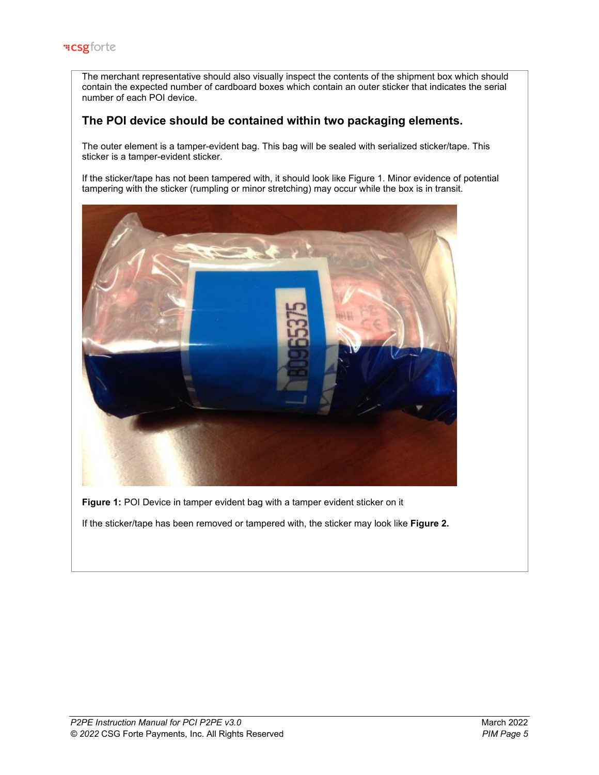The merchant representative should also visually inspect the contents of the shipment box which should contain the expected number of cardboard boxes which contain an outer sticker that indicates the serial number of each POI device.

# **The POI device should be contained within two packaging elements.**

The outer element is a tamper-evident bag. This bag will be sealed with serialized sticker/tape. This sticker is a tamper-evident sticker.

If the sticker/tape has not been tampered with, it should look like Figure 1. Minor evidence of potential tampering with the sticker (rumpling or minor stretching) may occur while the box is in transit.



**Figure 1:** POI Device in tamper evident bag with a tamper evident sticker on it

If the sticker/tape has been removed or tampered with, the sticker may look like **Figure 2.**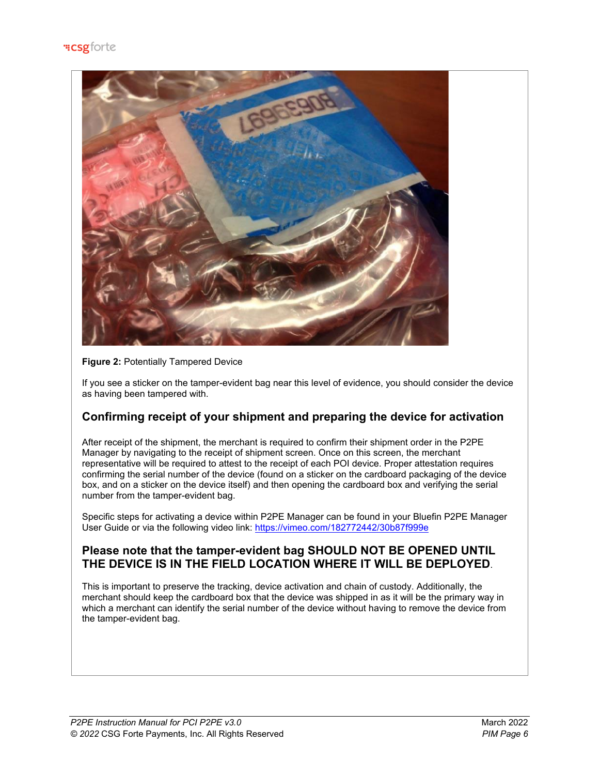

## **Figure 2: Potentially Tampered Device**

If you see a sticker on the tamper-evident bag near this level of evidence, you should consider the device as having been tampered with.

# **Confirming receipt of your shipment and preparing the device for activation**

After receipt of the shipment, the merchant is required to confirm their shipment order in the P2PE Manager by navigating to the receipt of shipment screen. Once on this screen, the merchant representative will be required to attest to the receipt of each POI device. Proper attestation requires confirming the serial number of the device (found on a sticker on the cardboard packaging of the device box, and on a sticker on the device itself) and then opening the cardboard box and verifying the serial number from the tamper-evident bag.

Specific steps for activating a device within P2PE Manager can be found in your Bluefin P2PE Manager User Guide or via the following video link:<https://vimeo.com/182772442/30b87f999e>

# **Please note that the tamper-evident bag SHOULD NOT BE OPENED UNTIL THE DEVICE IS IN THE FIELD LOCATION WHERE IT WILL BE DEPLOYED**.

This is important to preserve the tracking, device activation and chain of custody. Additionally, the merchant should keep the cardboard box that the device was shipped in as it will be the primary way in which a merchant can identify the serial number of the device without having to remove the device from the tamper-evident bag.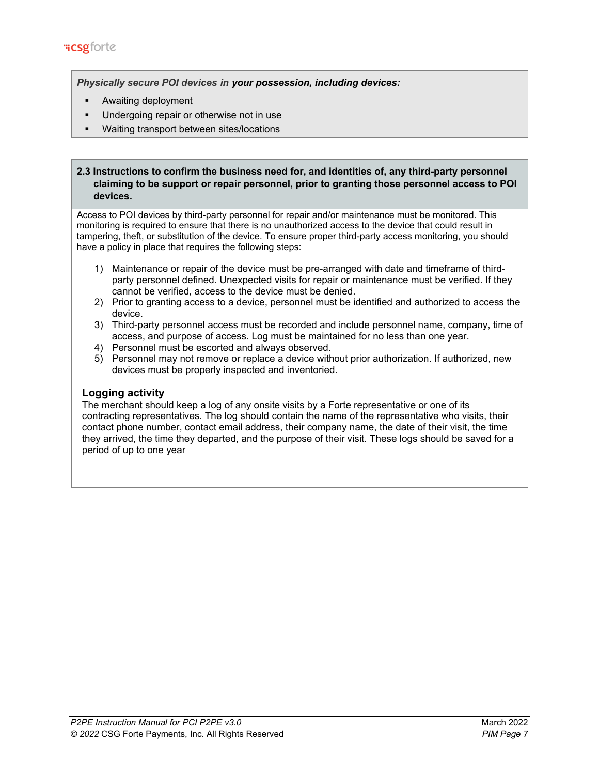*Physically secure POI devices in your possession, including devices:*

- Awaiting deployment
- Undergoing repair or otherwise not in use
- Waiting transport between sites/locations

# **2.3 Instructions to confirm the business need for, and identities of, any third-party personnel claiming to be support or repair personnel, prior to granting those personnel access to POI devices.**

Access to POI devices by third-party personnel for repair and/or maintenance must be monitored. This monitoring is required to ensure that there is no unauthorized access to the device that could result in tampering, theft, or substitution of the device. To ensure proper third-party access monitoring, you should have a policy in place that requires the following steps:

- 1) Maintenance or repair of the device must be pre-arranged with date and timeframe of thirdparty personnel defined. Unexpected visits for repair or maintenance must be verified. If they cannot be verified, access to the device must be denied.
- 2) Prior to granting access to a device, personnel must be identified and authorized to access the device.
- 3) Third-party personnel access must be recorded and include personnel name, company, time of access, and purpose of access. Log must be maintained for no less than one year.
- 4) Personnel must be escorted and always observed.
- 5) Personnel may not remove or replace a device without prior authorization. If authorized, new devices must be properly inspected and inventoried.

# **Logging activity**

The merchant should keep a log of any onsite visits by a Forte representative or one of its contracting representatives. The log should contain the name of the representative who visits, their contact phone number, contact email address, their company name, the date of their visit, the time they arrived, the time they departed, and the purpose of their visit. These logs should be saved for a period of up to one year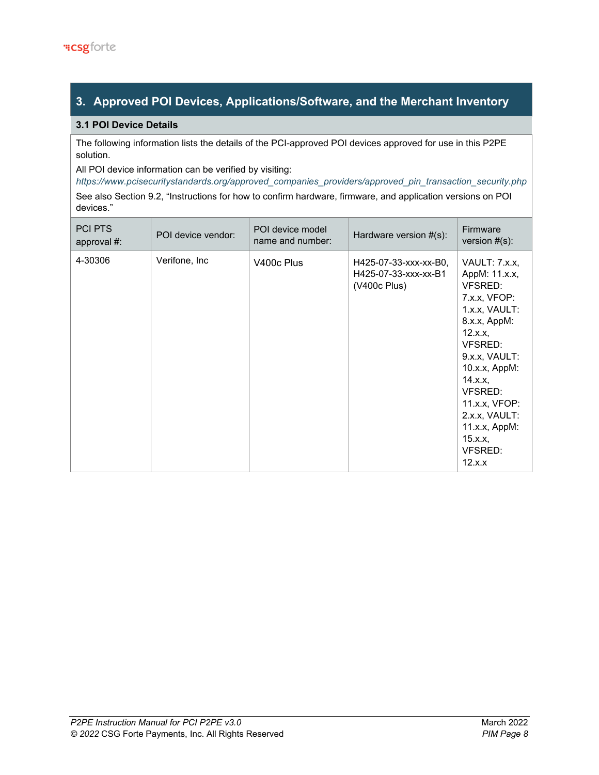# **3. Approved POI Devices, Applications/Software, and the Merchant Inventory**

# **3.1 POI Device Details**

The following information lists the details of the PCI-approved POI devices approved for use in this P2PE solution.

All POI device information can be verified by visiting:

*[https://www.pcisecuritystandards.org/approved\\_companies\\_providers/approved\\_pin\\_transaction\\_security.php](https://www.pcisecuritystandards.org/approved_companies_providers/approved_pin_transaction_security.php)* See also Section 9.2, "Instructions for how to confirm hardware, firmware, and application versions on POI devices."

| <b>PCI PTS</b><br>approval $#$ : | POI device vendor: | POI device model<br>name and number: | Hardware version $#(s)$ :                                     | Firmware<br>version $#(s)$ :                                                                                                                                                                                                                                |
|----------------------------------|--------------------|--------------------------------------|---------------------------------------------------------------|-------------------------------------------------------------------------------------------------------------------------------------------------------------------------------------------------------------------------------------------------------------|
| 4-30306                          | Verifone, Inc      | V400c Plus                           | H425-07-33-xxx-xx-B0,<br>H425-07-33-xxx-xx-B1<br>(V400c Plus) | VAULT: 7.x.x,<br>AppM: 11.x.x,<br>VFSRED:<br>7.x.x, VFOP:<br>1.x.x, VAULT:<br>8.x.x, AppM:<br>12.x.x,<br>VFSRED:<br>9.x.x, VAULT:<br>10.x.x, AppM:<br>14.x.x,<br>VFSRED:<br>11.x.x, VFOP:<br>2.x.x, VAULT:<br>11.x.x, AppM:<br>15.x.x,<br>VFSRED:<br>12.x.x |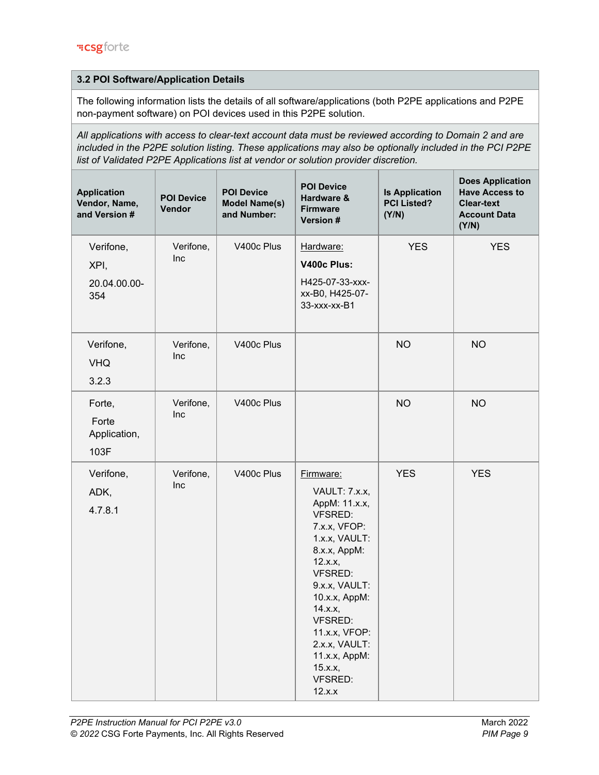# **3.2 POI Software/Application Details**

The following information lists the details of all software/applications (both P2PE applications and P2PE non-payment software) on POI devices used in this P2PE solution.

*All applications with access to clear-text account data must be reviewed according to Domain 2 and are included in the P2PE solution listing. These applications may also be optionally included in the PCI P2PE list of Validated P2PE Applications list at vendor or solution provider discretion.*

| <b>Application</b><br>Vendor, Name,<br>and Version # | <b>POI Device</b><br>Vendor | <b>POI Device</b><br><b>Model Name(s)</b><br>and Number: | <b>POI Device</b><br>Hardware &<br><b>Firmware</b><br>Version #                                                                                                                                                                                                                               | <b>Is Application</b><br><b>PCI Listed?</b><br>(Y/N) | <b>Does Application</b><br><b>Have Access to</b><br><b>Clear-text</b><br><b>Account Data</b><br>(Y/N) |
|------------------------------------------------------|-----------------------------|----------------------------------------------------------|-----------------------------------------------------------------------------------------------------------------------------------------------------------------------------------------------------------------------------------------------------------------------------------------------|------------------------------------------------------|-------------------------------------------------------------------------------------------------------|
| Verifone,<br>XPI,<br>20.04.00.00-<br>354             | Verifone,<br>Inc            | V400c Plus                                               | Hardware:<br>V400c Plus:<br>H425-07-33-xxx-<br>xx-B0, H425-07-<br>33-xxx-xx-B1                                                                                                                                                                                                                | <b>YES</b>                                           | <b>YES</b>                                                                                            |
| Verifone,<br><b>VHQ</b><br>3.2.3                     | Verifone,<br>Inc            | V400c Plus                                               |                                                                                                                                                                                                                                                                                               | <b>NO</b>                                            | <b>NO</b>                                                                                             |
| Forte,<br>Forte<br>Application,<br>103F              | Verifone,<br>Inc            | V400c Plus                                               |                                                                                                                                                                                                                                                                                               | <b>NO</b>                                            | <b>NO</b>                                                                                             |
| Verifone,<br>ADK,<br>4.7.8.1                         | Verifone,<br>Inc            | V400c Plus                                               | Firmware:<br>VAULT: 7.x.x,<br>AppM: 11.x.x,<br><b>VFSRED:</b><br>7.x.x, VFOP:<br>1.x.x, VAULT:<br>8.x.x, AppM:<br>12.x.x,<br><b>VFSRED:</b><br>9.x.x, VAULT:<br>10.x.x, AppM:<br>14.x.x,<br><b>VFSRED:</b><br>11.x.x, VFOP:<br>2.x.x, VAULT:<br>11.x.x, AppM:<br>15.x.x,<br>VFSRED:<br>12.x.x | <b>YES</b>                                           | <b>YES</b>                                                                                            |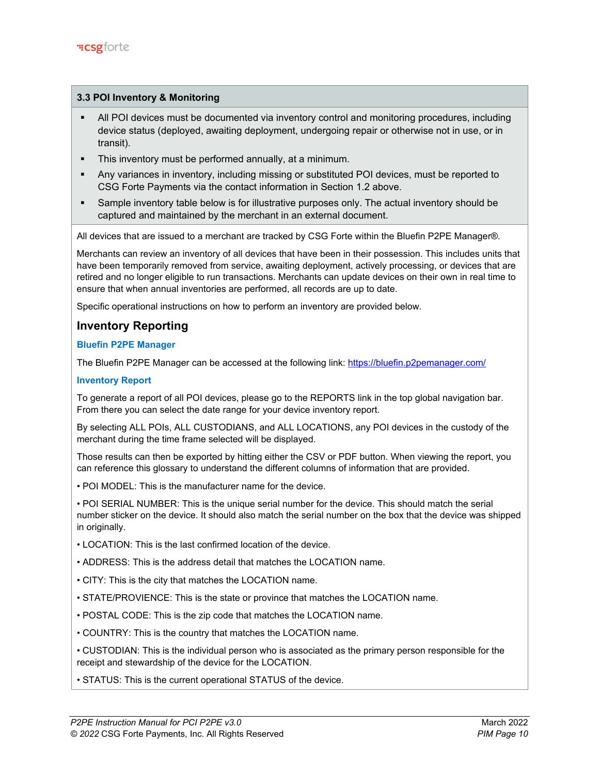## **3.3 POI Inventory & Monitoring**

- All POI devices must be documented via inventory control and monitoring procedures, including device status (deployed, awaiting deployment, undergoing repair or otherwise not in use, or in transit).
- **This inventory must be performed annually, at a minimum.**
- Any variances in inventory, including missing or substituted POI devices, must be reported to CSG Forte Payments via the contact information in Section 1.2 above.
- Sample inventory table below is for illustrative purposes only. The actual inventory should be captured and maintained by the merchant in an external document.

All devices that are issued to a merchant are tracked by CSG Forte within the Bluefin P2PE Manager®.

Merchants can review an inventory of all devices that have been in their possession. This includes units that have been temporarily removed from service, awaiting deployment, actively processing, or devices that are retired and no longer eligible to run transactions. Merchants can update devices on their own in real time to ensure that when annual inventories are performed, all records are up to date.

Specific operational instructions on how to perform an inventory are provided below.

# **Inventory Reporting**

## **Bluefin P2PE Manager**

The Bluefin P2PE Manager can be accessed at the following link:<https://bluefin.p2pemanager.com/>

### **Inventory Report**

To generate a report of all POI devices, please go to the REPORTS link in the top global navigation bar. From there you can select the date range for your device inventory report.

By selecting ALL POIs, ALL CUSTODIANS, and ALL LOCATIONS, any POI devices in the custody of the merchant during the time frame selected will be displayed.

Those results can then be exported by hitting either the CSV or PDF button. When viewing the report, you can reference this glossary to understand the different columns of information that are provided.

• POI MODEL: This is the manufacturer name for the device.

• POI SERIAL NUMBER: This is the unique serial number for the device. This should match the serial number sticker on the device. It should also match the serial number on the box that the device was shipped in originally.

- LOCATION: This is the last confirmed location of the device.
- ADDRESS: This is the address detail that matches the LOCATION name.
- CITY: This is the city that matches the LOCATION name.
- STATE/PROVIENCE: This is the state or province that matches the LOCATION name.
- POSTAL CODE: This is the zip code that matches the LOCATION name.
- COUNTRY: This is the country that matches the LOCATION name.

• CUSTODIAN: This is the individual person who is associated as the primary person responsible for the receipt and stewardship of the device for the LOCATION.

• STATUS: This is the current operational STATUS of the device.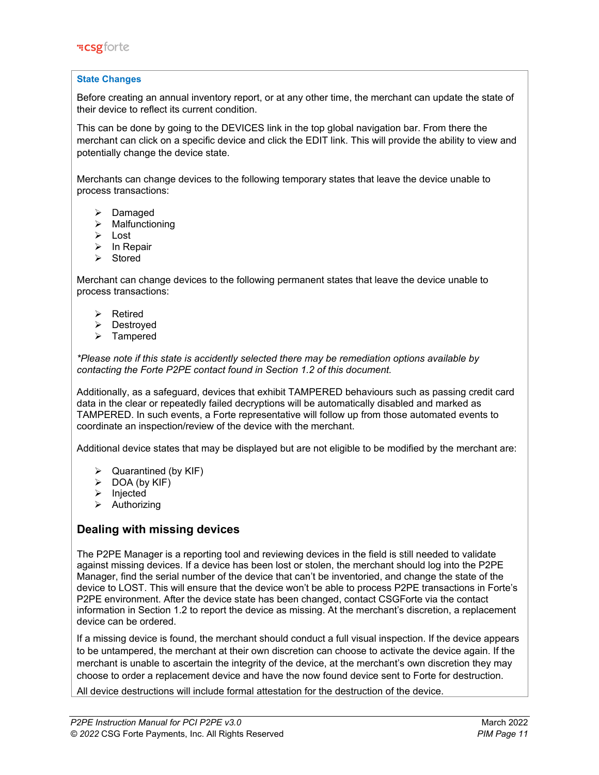### **State Changes**

Before creating an annual inventory report, or at any other time, the merchant can update the state of their device to reflect its current condition.

This can be done by going to the DEVICES link in the top global navigation bar. From there the merchant can click on a specific device and click the EDIT link. This will provide the ability to view and potentially change the device state.

Merchants can change devices to the following temporary states that leave the device unable to process transactions:

- $\triangleright$  Damaged
- $\triangleright$  Malfunctioning
- > Lost
- $\triangleright$  In Repair
- $\triangleright$  Stored

Merchant can change devices to the following permanent states that leave the device unable to process transactions:

- > Retired
- Destroyed
- > Tampered

*\*Please note if this state is accidently selected there may be remediation options available by contacting the Forte P2PE contact found in Section 1.2 of this document.* 

Additionally, as a safeguard, devices that exhibit TAMPERED behaviours such as passing credit card data in the clear or repeatedly failed decryptions will be automatically disabled and marked as TAMPERED. In such events, a Forte representative will follow up from those automated events to coordinate an inspection/review of the device with the merchant.

Additional device states that may be displayed but are not eligible to be modified by the merchant are:

- $\triangleright$  Quarantined (by KIF)
- $\triangleright$  DOA (by KIF)
- $\triangleright$  Injected
- $\triangleright$  Authorizing

# **Dealing with missing devices**

The P2PE Manager is a reporting tool and reviewing devices in the field is still needed to validate against missing devices. If a device has been lost or stolen, the merchant should log into the P2PE Manager, find the serial number of the device that can't be inventoried, and change the state of the device to LOST. This will ensure that the device won't be able to process P2PE transactions in Forte's P2PE environment. After the device state has been changed, contact CSGForte via the contact information in Section 1.2 to report the device as missing. At the merchant's discretion, a replacement device can be ordered.

If a missing device is found, the merchant should conduct a full visual inspection. If the device appears to be untampered, the merchant at their own discretion can choose to activate the device again. If the merchant is unable to ascertain the integrity of the device, at the merchant's own discretion they may choose to order a replacement device and have the now found device sent to Forte for destruction.

All device destructions will include formal attestation for the destruction of the device.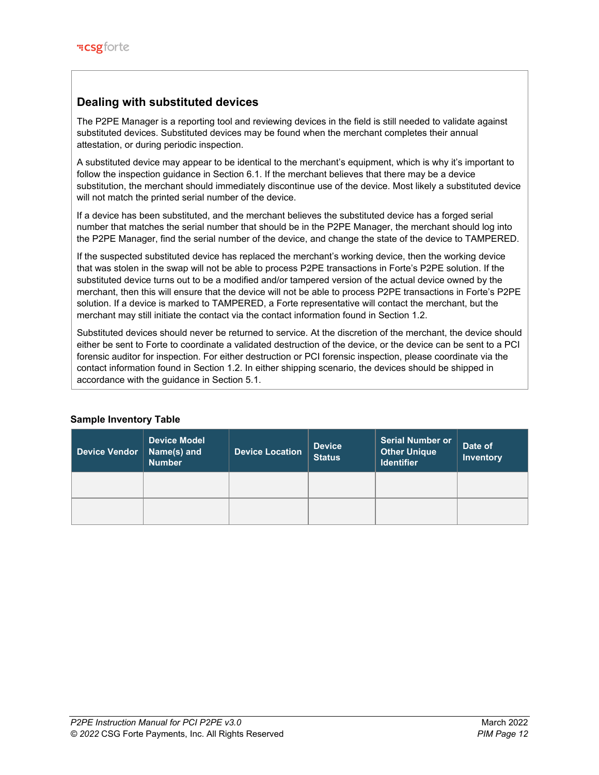# **Dealing with substituted devices**

The P2PE Manager is a reporting tool and reviewing devices in the field is still needed to validate against substituted devices. Substituted devices may be found when the merchant completes their annual attestation, or during periodic inspection.

A substituted device may appear to be identical to the merchant's equipment, which is why it's important to follow the inspection guidance in Section 6.1. If the merchant believes that there may be a device substitution, the merchant should immediately discontinue use of the device. Most likely a substituted device will not match the printed serial number of the device.

If a device has been substituted, and the merchant believes the substituted device has a forged serial number that matches the serial number that should be in the P2PE Manager, the merchant should log into the P2PE Manager, find the serial number of the device, and change the state of the device to TAMPERED.

If the suspected substituted device has replaced the merchant's working device, then the working device that was stolen in the swap will not be able to process P2PE transactions in Forte's P2PE solution. If the substituted device turns out to be a modified and/or tampered version of the actual device owned by the merchant, then this will ensure that the device will not be able to process P2PE transactions in Forte's P2PE solution. If a device is marked to TAMPERED, a Forte representative will contact the merchant, but the merchant may still initiate the contact via the contact information found in Section 1.2.

Substituted devices should never be returned to service. At the discretion of the merchant, the device should either be sent to Forte to coordinate a validated destruction of the device, or the device can be sent to a PCI forensic auditor for inspection. For either destruction or PCI forensic inspection, please coordinate via the contact information found in Section 1.2. In either shipping scenario, the devices should be shipped in accordance with the guidance in Section 5.1.

| <b>Device Vendor</b> | <b>Device Model</b><br>Name(s) and<br><b>Number</b> | <b>Device Location</b> | <b>Device</b><br><b>Status</b> | Serial Number or<br><b>Other Unique</b><br><b>Identifier</b> | Date of<br><b>Inventory</b> |
|----------------------|-----------------------------------------------------|------------------------|--------------------------------|--------------------------------------------------------------|-----------------------------|
|                      |                                                     |                        |                                |                                                              |                             |
|                      |                                                     |                        |                                |                                                              |                             |

# **Sample Inventory Table**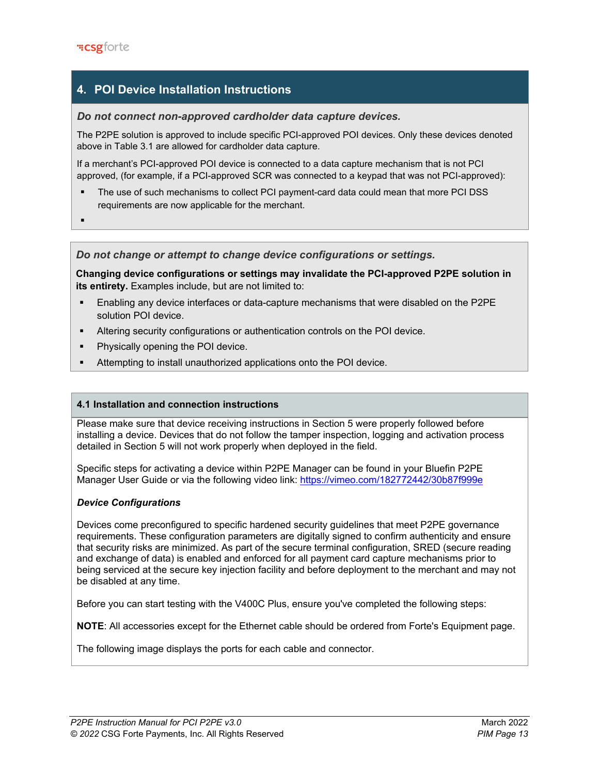# **4. POI Device Installation Instructions**

# *Do not connect non-approved cardholder data capture devices.*

The P2PE solution is approved to include specific PCI-approved POI devices. Only these devices denoted above in Table 3.1 are allowed for cardholder data capture.

If a merchant's PCI-approved POI device is connected to a data capture mechanism that is not PCI approved, (for example, if a PCI-approved SCR was connected to a keypad that was not PCI-approved):

- The use of such mechanisms to collect PCI payment-card data could mean that more PCI DSS requirements are now applicable for the merchant.
- ۰

### *Do not change or attempt to change device configurations or settings.*

**Changing device configurations or settings may invalidate the PCI-approved P2PE solution in its entirety.** Examples include, but are not limited to:

- Enabling any device interfaces or data-capture mechanisms that were disabled on the P2PE solution POI device.
- Altering security configurations or authentication controls on the POI device.
- Physically opening the POI device.
- Attempting to install unauthorized applications onto the POI device.

## **4.1 Installation and connection instructions**

Please make sure that device receiving instructions in Section 5 were properly followed before installing a device. Devices that do not follow the tamper inspection, logging and activation process detailed in Section 5 will not work properly when deployed in the field.

Specific steps for activating a device within P2PE Manager can be found in your Bluefin P2PE Manager User Guide or via the following video link:<https://vimeo.com/182772442/30b87f999e>

### *Device Configurations*

Devices come preconfigured to specific hardened security guidelines that meet P2PE governance requirements. These configuration parameters are digitally signed to confirm authenticity and ensure that security risks are minimized. As part of the secure terminal configuration, SRED (secure reading and exchange of data) is enabled and enforced for all payment card capture mechanisms prior to being serviced at the secure key injection facility and before deployment to the merchant and may not be disabled at any time.

Before you can start testing with the V400C Plus, ensure you've completed the following steps:

**NOTE**: All accessories except for the Ethernet cable should be ordered from Forte's Equipment page.

The following image displays the ports for each cable and connector.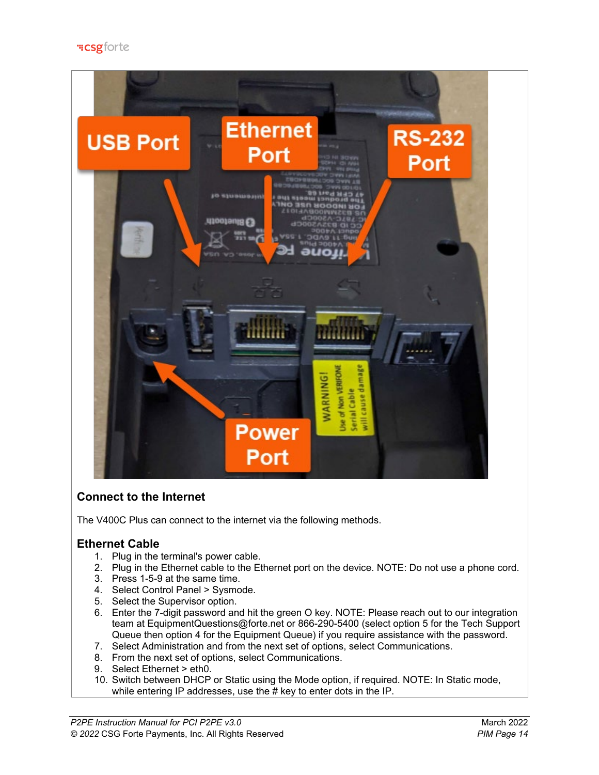

# **Connect to the Internet**

The V400C Plus can connect to the internet via the following methods.

# **Ethernet Cable**

- 1. Plug in the terminal's power cable.
- 2. Plug in the Ethernet cable to the Ethernet port on the device. NOTE: Do not use a phone cord.
- 3. Press 1-5-9 at the same time.
- 4. Select Control Panel > Sysmode.
- 5. Select the Supervisor option.
- 6. Enter the 7-digit password and hit the green O key. NOTE: Please reach out to our integration team at EquipmentQuestions@forte.net or 866-290-5400 (select option 5 for the Tech Support Queue then option 4 for the Equipment Queue) if you require assistance with the password.
- 7. Select Administration and from the next set of options, select Communications.
- 8. From the next set of options, select Communications.
- 9. Select Ethernet > eth0.
- 10. Switch between DHCP or Static using the Mode option, if required. NOTE: In Static mode, while entering IP addresses, use the # key to enter dots in the IP.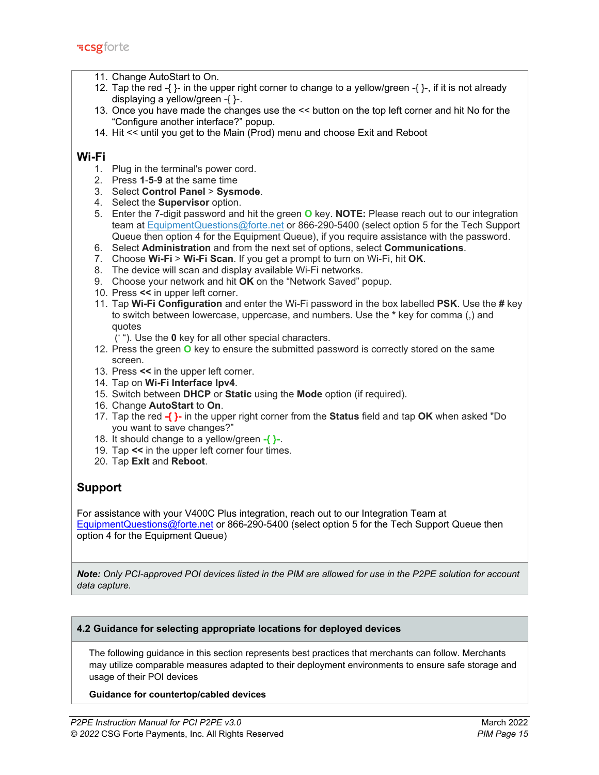- 11. Change AutoStart to On.
- 12. Tap the red -{ $\}$  in the upper right corner to change to a yellow/green -{ $\}$ -, if it is not already displaying a yellow/green -{ }-.
- 13. Once you have made the changes use the << button on the top left corner and hit No for the "Configure another interface?" popup.
- 14. Hit << until you get to the Main (Prod) menu and choose Exit and Reboot

# **Wi-Fi**

- 1. Plug in the terminal's power cord.
- 2. Press **1**-**5**-**9** at the same time
- 3. Select **Control Panel** > **Sysmode**.
- 4. Select the **Supervisor** option.
- 5. Enter the 7-digit password and hit the green **O** key. **NOTE:** Please reach out to our integration team at [EquipmentQuestions@forte.net](mailto:EquipmentQuestions@forte.net) or 866-290-5400 (select option 5 for the Tech Support Queue then option 4 for the Equipment Queue), if you require assistance with the password.
- 6. Select **Administration** and from the next set of options, select **Communications**.
- 7. Choose **Wi-Fi** > **Wi-Fi Scan**. If you get a prompt to turn on Wi-Fi, hit **OK**.
- 8. The device will scan and display available Wi-Fi networks.
- 9. Choose your network and hit **OK** on the "Network Saved" popup.
- 10. Press **<<** in upper left corner.
- 11. Tap **Wi-Fi Configuration** and enter the Wi-Fi password in the box labelled **PSK**. Use the **#** key to switch between lowercase, uppercase, and numbers. Use the **\*** key for comma (,) and quotes

(' "). Use the **0** key for all other special characters.

- 12. Press the green **O** key to ensure the submitted password is correctly stored on the same screen.
- 13. Press **<<** in the upper left corner.
- 14. Tap on **Wi-Fi Interface Ipv4**.
- 15. Switch between **DHCP** or **Static** using the **Mode** option (if required).
- 16. Change **AutoStart** to **On**.
- 17. Tap the red **-{ }-** in the upper right corner from the **Status** field and tap **OK** when asked "Do you want to save changes?"
- 18. It should change to a yellow/green **-{ }-**.
- 19. Tap **<<** in the upper left corner four times.
- 20. Tap **Exit** and **Reboot**.

# **Support**

For assistance with your V400C Plus integration, reach out to our Integration Team at EquipmentQuestions@forte.net or 866-290-5400 (select option 5 for the Tech Support Queue then option 4 for the Equipment Queue)

*Note: Only PCI-approved POI devices listed in the PIM are allowed for use in the P2PE solution for account data capture.* 

# **4.2 Guidance for selecting appropriate locations for deployed devices**

The following guidance in this section represents best practices that merchants can follow. Merchants may utilize comparable measures adapted to their deployment environments to ensure safe storage and usage of their POI devices

### **Guidance for countertop/cabled devices**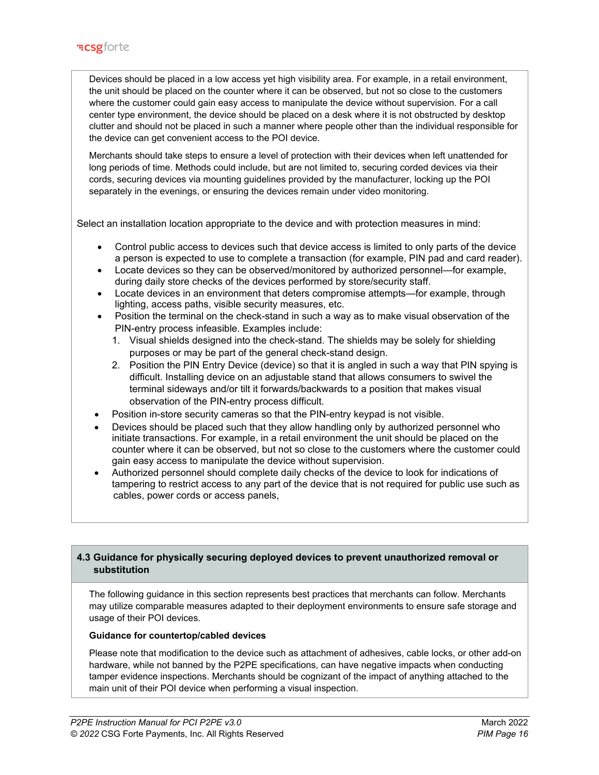Devices should be placed in a low access yet high visibility area. For example, in a retail environment, the unit should be placed on the counter where it can be observed, but not so close to the customers where the customer could gain easy access to manipulate the device without supervision. For a call center type environment, the device should be placed on a desk where it is not obstructed by desktop clutter and should not be placed in such a manner where people other than the individual responsible for the device can get convenient access to the POI device.

Merchants should take steps to ensure a level of protection with their devices when left unattended for long periods of time. Methods could include, but are not limited to, securing corded devices via their cords, securing devices via mounting guidelines provided by the manufacturer, locking up the POI separately in the evenings, or ensuring the devices remain under video monitoring.

Select an installation location appropriate to the device and with protection measures in mind:

- Control public access to devices such that device access is limited to only parts of the device a person is expected to use to complete a transaction (for example, PIN pad and card reader).
- Locate devices so they can be observed/monitored by authorized personnel—for example, during daily store checks of the devices performed by store/security staff.
- Locate devices in an environment that deters compromise attempts—for example, through lighting, access paths, visible security measures, etc.
- Position the terminal on the check-stand in such a way as to make visual observation of the PIN-entry process infeasible. Examples include:
	- 1. Visual shields designed into the check-stand. The shields may be solely for shielding purposes or may be part of the general check-stand design.
	- 2. Position the PIN Entry Device (device) so that it is angled in such a way that PIN spying is difficult. Installing device on an adjustable stand that allows consumers to swivel the terminal sideways and/or tilt it forwards/backwards to a position that makes visual observation of the PIN-entry process difficult.
- Position in-store security cameras so that the PIN-entry keypad is not visible.
- Devices should be placed such that they allow handling only by authorized personnel who initiate transactions. For example, in a retail environment the unit should be placed on the counter where it can be observed, but not so close to the customers where the customer could gain easy access to manipulate the device without supervision.
- Authorized personnel should complete daily checks of the device to look for indications of tampering to restrict access to any part of the device that is not required for public use such as cables, power cords or access panels,

# **4.3 Guidance for physically securing deployed devices to prevent unauthorized removal or substitution**

The following guidance in this section represents best practices that merchants can follow. Merchants may utilize comparable measures adapted to their deployment environments to ensure safe storage and usage of their POI devices.

### **Guidance for countertop/cabled devices**

Please note that modification to the device such as attachment of adhesives, cable locks, or other add-on hardware, while not banned by the P2PE specifications, can have negative impacts when conducting tamper evidence inspections. Merchants should be cognizant of the impact of anything attached to the main unit of their POI device when performing a visual inspection.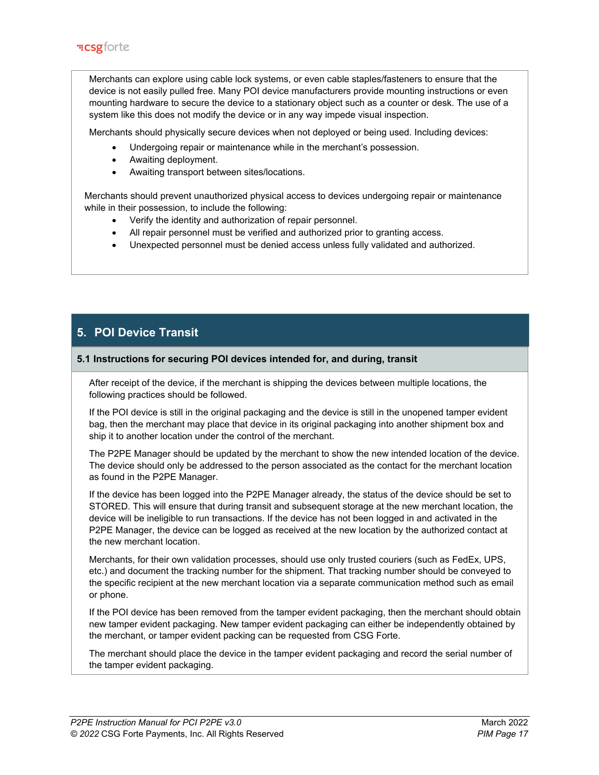Merchants can explore using cable lock systems, or even cable staples/fasteners to ensure that the device is not easily pulled free. Many POI device manufacturers provide mounting instructions or even mounting hardware to secure the device to a stationary object such as a counter or desk. The use of a system like this does not modify the device or in any way impede visual inspection.

Merchants should physically secure devices when not deployed or being used. Including devices:

- Undergoing repair or maintenance while in the merchant's possession.
- Awaiting deployment.
- Awaiting transport between sites/locations.

 Merchants should prevent unauthorized physical access to devices undergoing repair or maintenance while in their possession, to include the following:

- Verify the identity and authorization of repair personnel.
- All repair personnel must be verified and authorized prior to granting access.
- Unexpected personnel must be denied access unless fully validated and authorized.

# **5. POI Device Transit**

### **5.1 Instructions for securing POI devices intended for, and during, transit**

After receipt of the device, if the merchant is shipping the devices between multiple locations, the following practices should be followed.

If the POI device is still in the original packaging and the device is still in the unopened tamper evident bag, then the merchant may place that device in its original packaging into another shipment box and ship it to another location under the control of the merchant.

The P2PE Manager should be updated by the merchant to show the new intended location of the device. The device should only be addressed to the person associated as the contact for the merchant location as found in the P2PE Manager.

If the device has been logged into the P2PE Manager already, the status of the device should be set to STORED. This will ensure that during transit and subsequent storage at the new merchant location, the device will be ineligible to run transactions. If the device has not been logged in and activated in the P2PE Manager, the device can be logged as received at the new location by the authorized contact at the new merchant location.

Merchants, for their own validation processes, should use only trusted couriers (such as FedEx, UPS, etc.) and document the tracking number for the shipment. That tracking number should be conveyed to the specific recipient at the new merchant location via a separate communication method such as email or phone.

If the POI device has been removed from the tamper evident packaging, then the merchant should obtain new tamper evident packaging. New tamper evident packaging can either be independently obtained by the merchant, or tamper evident packing can be requested from CSG Forte.

The merchant should place the device in the tamper evident packaging and record the serial number of the tamper evident packaging.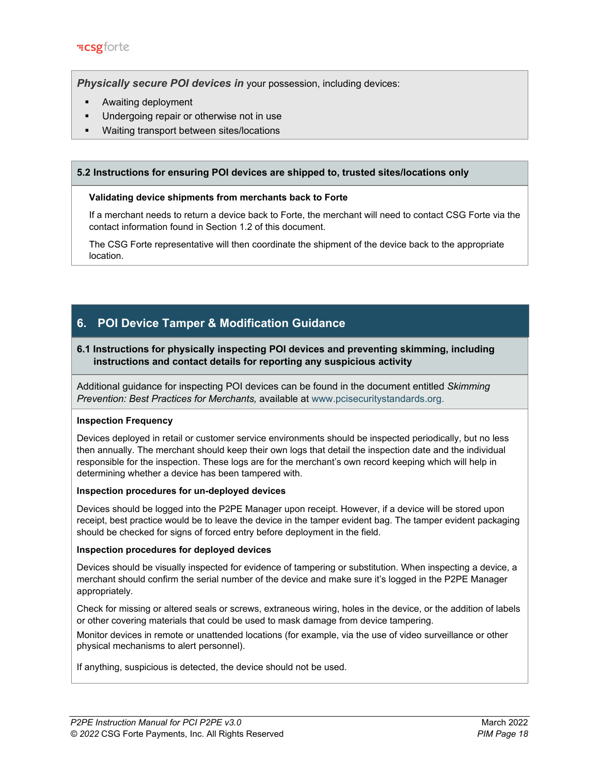**Physically secure POI devices in** your possession, including devices:

- **Awaiting deployment**
- Undergoing repair or otherwise not in use
- Waiting transport between sites/locations

# **5.2 Instructions for ensuring POI devices are shipped to, trusted sites/locations only**

## **Validating device shipments from merchants back to Forte**

If a merchant needs to return a device back to Forte, the merchant will need to contact CSG Forte via the contact information found in Section 1.2 of this document.

The CSG Forte representative will then coordinate the shipment of the device back to the appropriate location.

# **6. POI Device Tamper & Modification Guidance**

# **6.1 Instructions for physically inspecting POI devices and preventing skimming, including instructions and contact details for reporting any suspicious activity**

Additional guidance for inspecting POI devices can be found in the document entitled *Skimming Prevention: Best Practices for Merchants,* available at [www.pcisecuritystandards.org.](http://www.pcisecuritystandards.org/)

### **Inspection Frequency**

Devices deployed in retail or customer service environments should be inspected periodically, but no less then annually. The merchant should keep their own logs that detail the inspection date and the individual responsible for the inspection. These logs are for the merchant's own record keeping which will help in determining whether a device has been tampered with.

### **Inspection procedures for un-deployed devices**

Devices should be logged into the P2PE Manager upon receipt. However, if a device will be stored upon receipt, best practice would be to leave the device in the tamper evident bag. The tamper evident packaging should be checked for signs of forced entry before deployment in the field.

### **Inspection procedures for deployed devices**

Devices should be visually inspected for evidence of tampering or substitution. When inspecting a device, a merchant should confirm the serial number of the device and make sure it's logged in the P2PE Manager appropriately.

Check for missing or altered seals or screws, extraneous wiring, holes in the device, or the addition of labels or other covering materials that could be used to mask damage from device tampering.

Monitor devices in remote or unattended locations (for example, via the use of video surveillance or other physical mechanisms to alert personnel).

If anything, suspicious is detected, the device should not be used.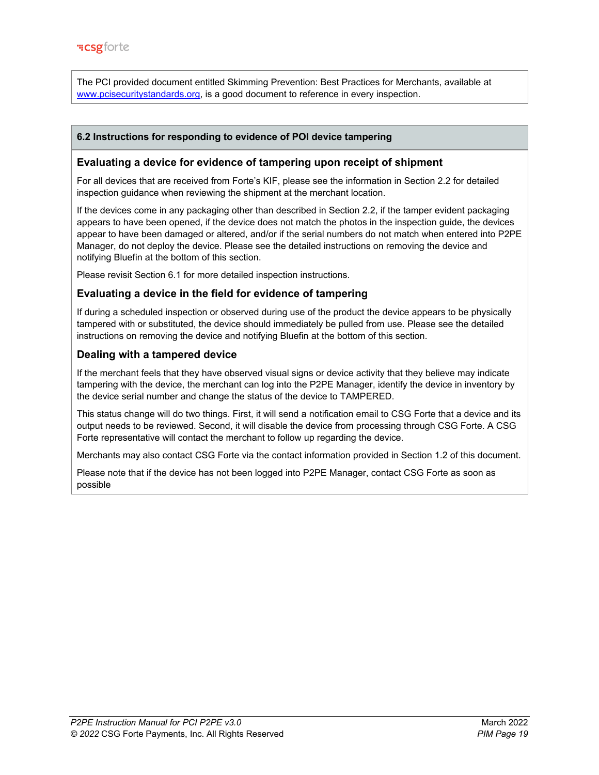The PCI provided document entitled Skimming Prevention: Best Practices for Merchants, available at www.pcisecuritystandards.org, is a good document to reference in every inspection.

# **6.2 Instructions for responding to evidence of POI device tampering**

## **Evaluating a device for evidence of tampering upon receipt of shipment**

For all devices that are received from Forte's KIF, please see the information in Section 2.2 for detailed inspection guidance when reviewing the shipment at the merchant location.

If the devices come in any packaging other than described in Section 2.2, if the tamper evident packaging appears to have been opened, if the device does not match the photos in the inspection guide, the devices appear to have been damaged or altered, and/or if the serial numbers do not match when entered into P2PE Manager, do not deploy the device. Please see the detailed instructions on removing the device and notifying Bluefin at the bottom of this section.

Please revisit Section 6.1 for more detailed inspection instructions.

# **Evaluating a device in the field for evidence of tampering**

If during a scheduled inspection or observed during use of the product the device appears to be physically tampered with or substituted, the device should immediately be pulled from use. Please see the detailed instructions on removing the device and notifying Bluefin at the bottom of this section.

# **Dealing with a tampered device**

If the merchant feels that they have observed visual signs or device activity that they believe may indicate tampering with the device, the merchant can log into the P2PE Manager, identify the device in inventory by the device serial number and change the status of the device to TAMPERED.

This status change will do two things. First, it will send a notification email to CSG Forte that a device and its output needs to be reviewed. Second, it will disable the device from processing through CSG Forte. A CSG Forte representative will contact the merchant to follow up regarding the device.

Merchants may also contact CSG Forte via the contact information provided in Section 1.2 of this document.

Please note that if the device has not been logged into P2PE Manager, contact CSG Forte as soon as possible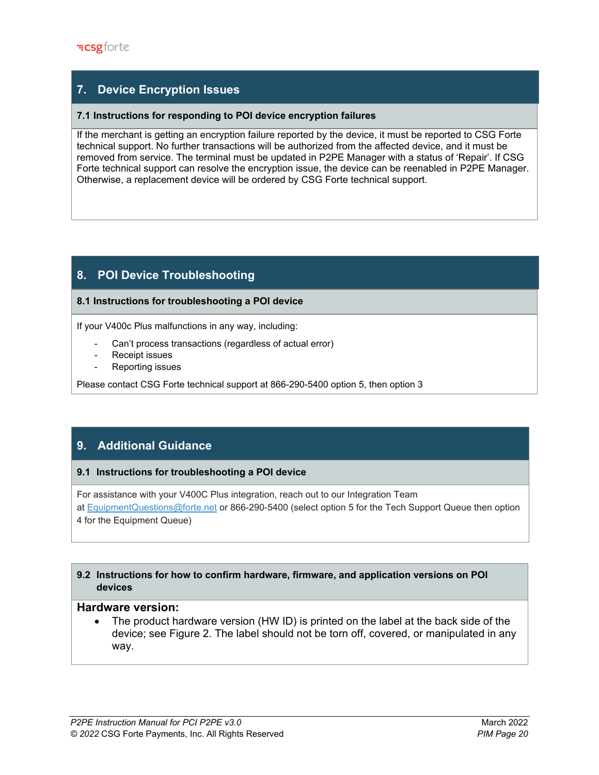# **7. Device Encryption Issues**

# **7.1 Instructions for responding to POI device encryption failures**

If the merchant is getting an encryption failure reported by the device, it must be reported to CSG Forte technical support. No further transactions will be authorized from the affected device, and it must be removed from service. The terminal must be updated in P2PE Manager with a status of 'Repair'. If CSG Forte technical support can resolve the encryption issue, the device can be reenabled in P2PE Manager. Otherwise, a replacement device will be ordered by CSG Forte technical support.

# **8. POI Device Troubleshooting**

## **8.1 Instructions for troubleshooting a POI device**

If your V400c Plus malfunctions in any way, including:

- Can't process transactions (regardless of actual error)
- Receipt issues
- Reporting issues

Please contact CSG Forte technical support at 866-290-5400 option 5, then option 3

# **9. Additional Guidance**

# **9.1****Instructions for troubleshooting a POI device**

For assistance with your V400C Plus integration, reach out to our Integration Team at [EquipmentQuestions@forte.net](mailto:EquipmentQuestions@forte.net) or 866-290-5400 (select option 5 for the Tech Support Queue then option 4 for the Equipment Queue)

# **9.2 Instructions for how to confirm hardware, firmware, and application versions on POI devices**

# **Hardware version:**

• The product hardware version (HW ID) is printed on the label at the back side of the device; see Figure 2. The label should not be torn off, covered, or manipulated in any way.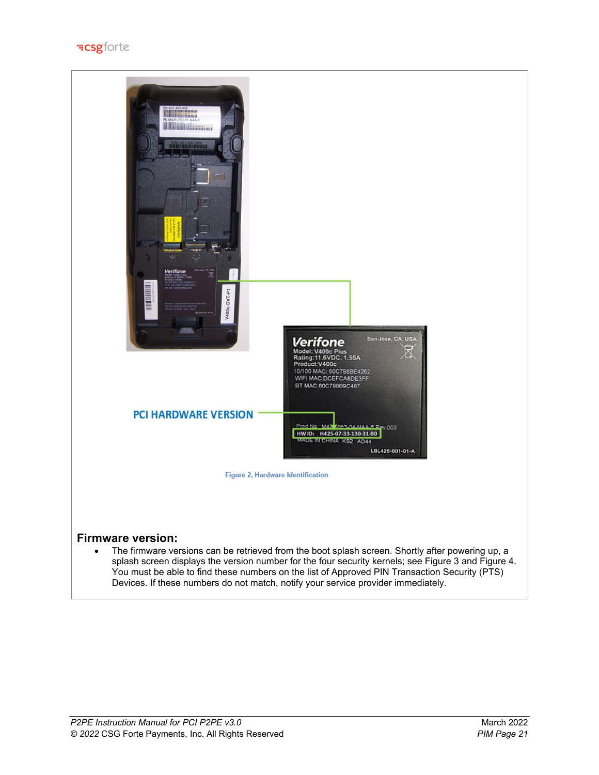

Devices. If these numbers do not match, notify your service provider immediately.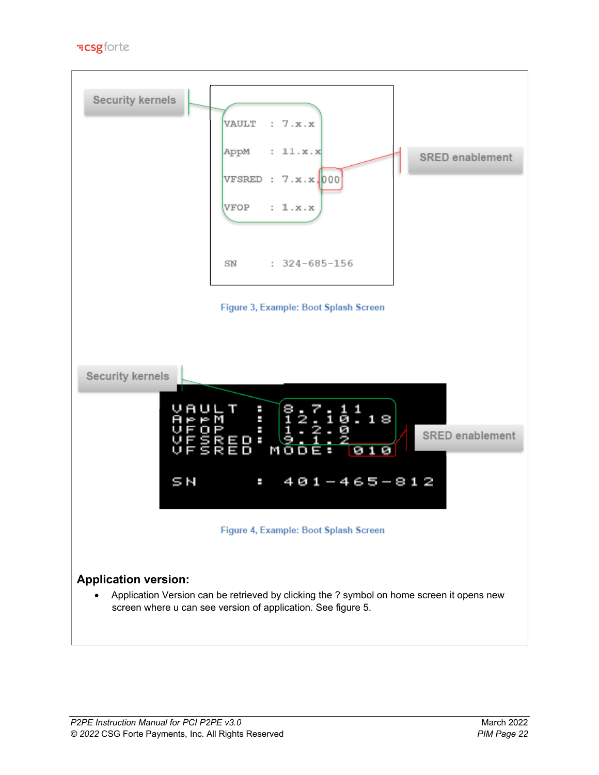**"Csgforte** 

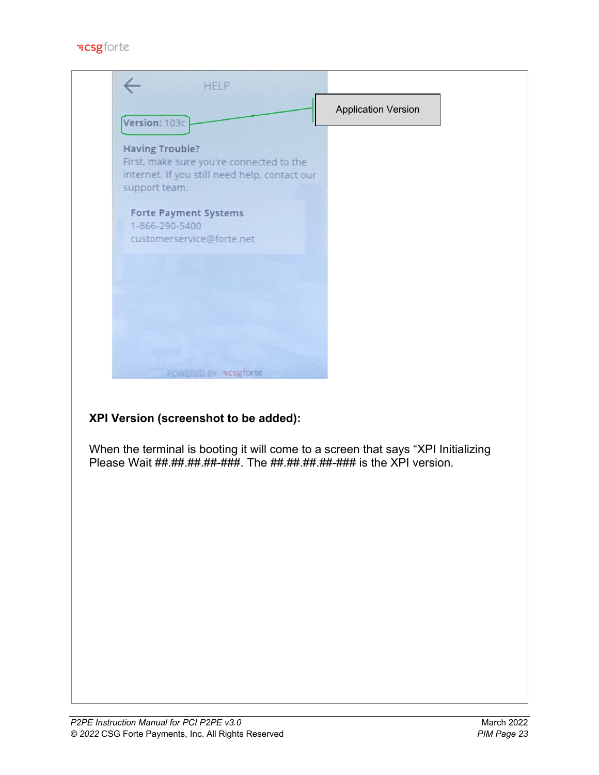